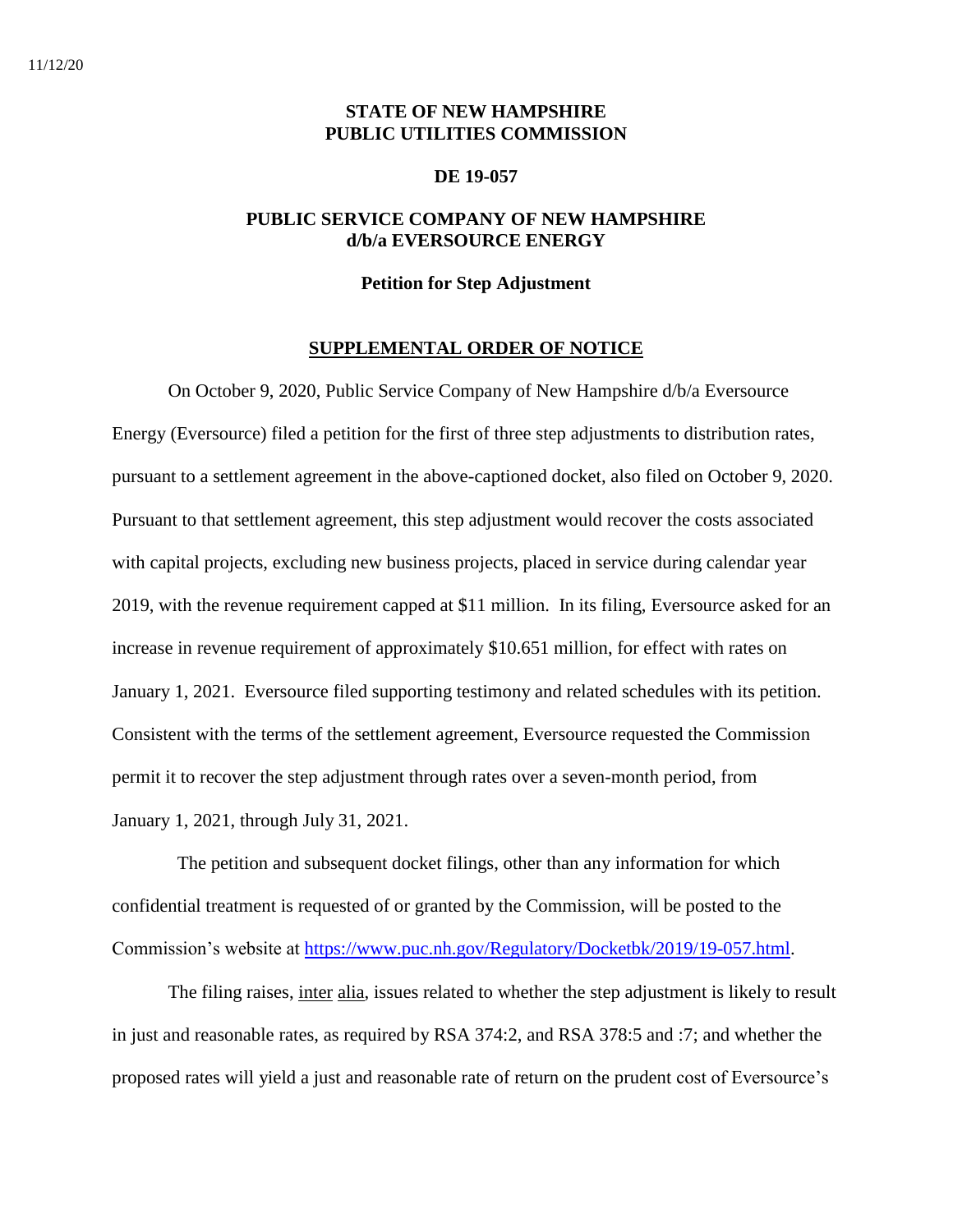## **STATE OF NEW HAMPSHIRE PUBLIC UTILITIES COMMISSION**

#### **DE 19-057**

## **PUBLIC SERVICE COMPANY OF NEW HAMPSHIRE d/b/a EVERSOURCE ENERGY**

### **Petition for Step Adjustment**

#### **SUPPLEMENTAL ORDER OF NOTICE**

On October 9, 2020, Public Service Company of New Hampshire d/b/a Eversource Energy (Eversource) filed a petition for the first of three step adjustments to distribution rates, pursuant to a settlement agreement in the above-captioned docket, also filed on October 9, 2020. Pursuant to that settlement agreement, this step adjustment would recover the costs associated with capital projects, excluding new business projects, placed in service during calendar year 2019, with the revenue requirement capped at \$11 million. In its filing, Eversource asked for an increase in revenue requirement of approximately \$10.651 million, for effect with rates on January 1, 2021. Eversource filed supporting testimony and related schedules with its petition. Consistent with the terms of the settlement agreement, Eversource requested the Commission permit it to recover the step adjustment through rates over a seven-month period, from January 1, 2021, through July 31, 2021.

 The petition and subsequent docket filings, other than any information for which confidential treatment is requested of or granted by the Commission, will be posted to the Commission's website at [https://www.puc.nh.gov/Regulatory/Docketbk/2019/19-057.html.](https://www.puc.nh.gov/Regulatory/Docketbk/2019/19-057.html)

The filing raises, inter alia, issues related to whether the step adjustment is likely to result in just and reasonable rates, as required by RSA 374:2, and RSA 378:5 and :7; and whether the proposed rates will yield a just and reasonable rate of return on the prudent cost of Eversource's

11/12/20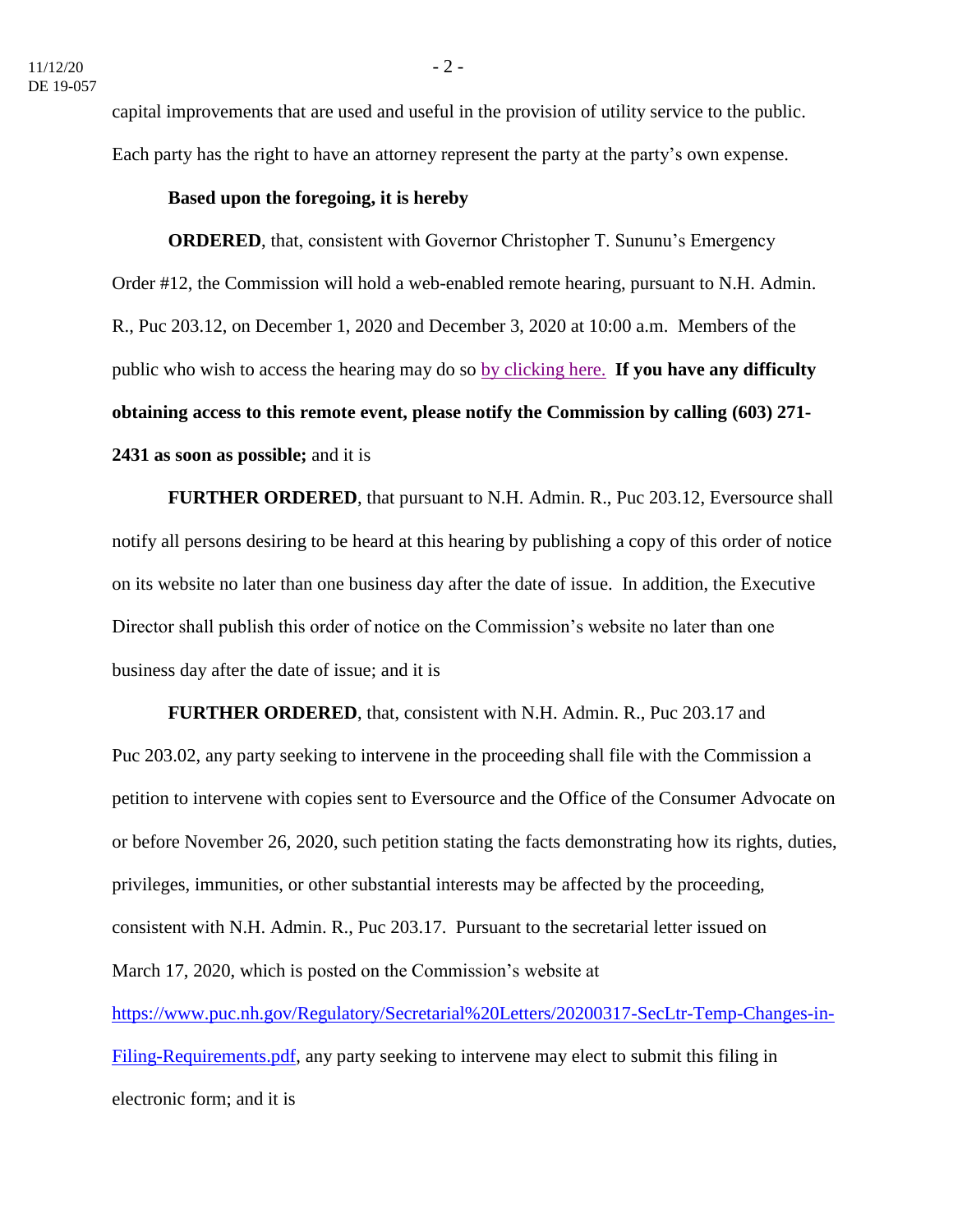capital improvements that are used and useful in the provision of utility service to the public. Each party has the right to have an attorney represent the party at the party's own expense.

## **Based upon the foregoing, it is hereby**

**ORDERED**, that, consistent with Governor Christopher T. Sununu's Emergency Order #12, the Commission will hold a web-enabled remote hearing, pursuant to N.H. Admin. R., Puc 203.12, on December 1, 2020 and December 3, 2020 at 10:00 a.m. Members of the public who wish to access the hearing may do so [by clicking here.](https://www.puc.nh.gov/Regulatory/Calendar-Remote.html) **If you have any difficulty obtaining access to this remote event, please notify the Commission by calling (603) 271- 2431 as soon as possible;** and it is

**FURTHER ORDERED**, that pursuant to N.H. Admin. R., Puc 203.12, Eversource shall notify all persons desiring to be heard at this hearing by publishing a copy of this order of notice on its website no later than one business day after the date of issue. In addition, the Executive Director shall publish this order of notice on the Commission's website no later than one business day after the date of issue; and it is

**FURTHER ORDERED**, that, consistent with N.H. Admin. R., Puc 203.17 and Puc 203.02, any party seeking to intervene in the proceeding shall file with the Commission a petition to intervene with copies sent to Eversource and the Office of the Consumer Advocate on or before November 26, 2020, such petition stating the facts demonstrating how its rights, duties, privileges, immunities, or other substantial interests may be affected by the proceeding, consistent with N.H. Admin. R., Puc 203.17. Pursuant to the secretarial letter issued on March 17, 2020, which is posted on the Commission's website at [https://www.puc.nh.gov/Regulatory/Secretarial%20Letters/20200317-SecLtr-Temp-Changes-in-](https://www.puc.nh.gov/Regulatory/Secretarial%20Letters/20200317-SecLtr-Temp-Changes-in-Filing-Requirements.pdf)[Filing-Requirements.pdf,](https://www.puc.nh.gov/Regulatory/Secretarial%20Letters/20200317-SecLtr-Temp-Changes-in-Filing-Requirements.pdf) any party seeking to intervene may elect to submit this filing in electronic form; and it is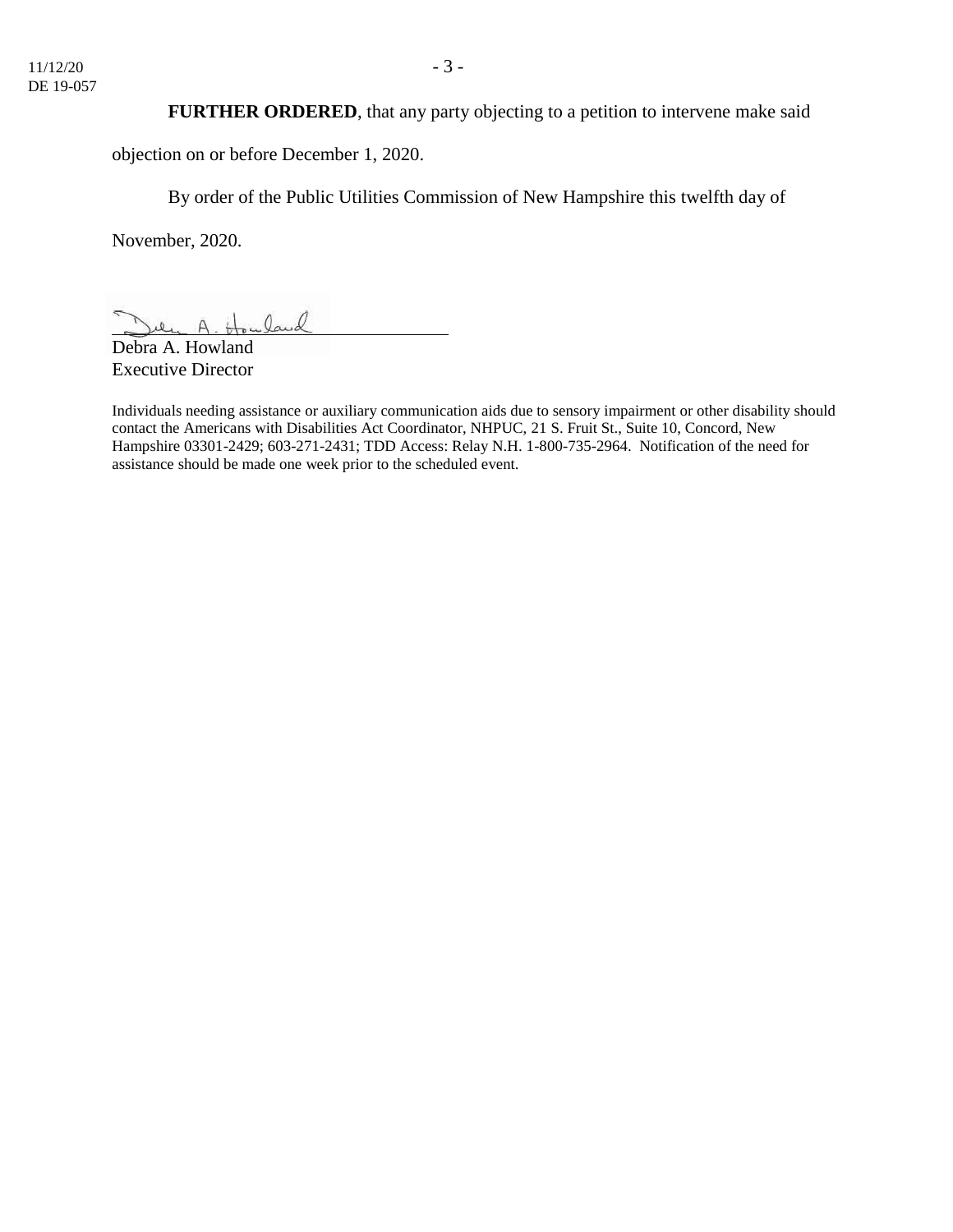## **FURTHER ORDERED**, that any party objecting to a petition to intervene make said

objection on or before December 1, 2020.

By order of the Public Utilities Commission of New Hampshire this twelfth day of

November, 2020.

 $0$ aud  $\Delta$ 

Debra A. Howland Executive Director

Individuals needing assistance or auxiliary communication aids due to sensory impairment or other disability should contact the Americans with Disabilities Act Coordinator, NHPUC, 21 S. Fruit St., Suite 10, Concord, New Hampshire 03301-2429; 603-271-2431; TDD Access: Relay N.H. 1-800-735-2964. Notification of the need for assistance should be made one week prior to the scheduled event.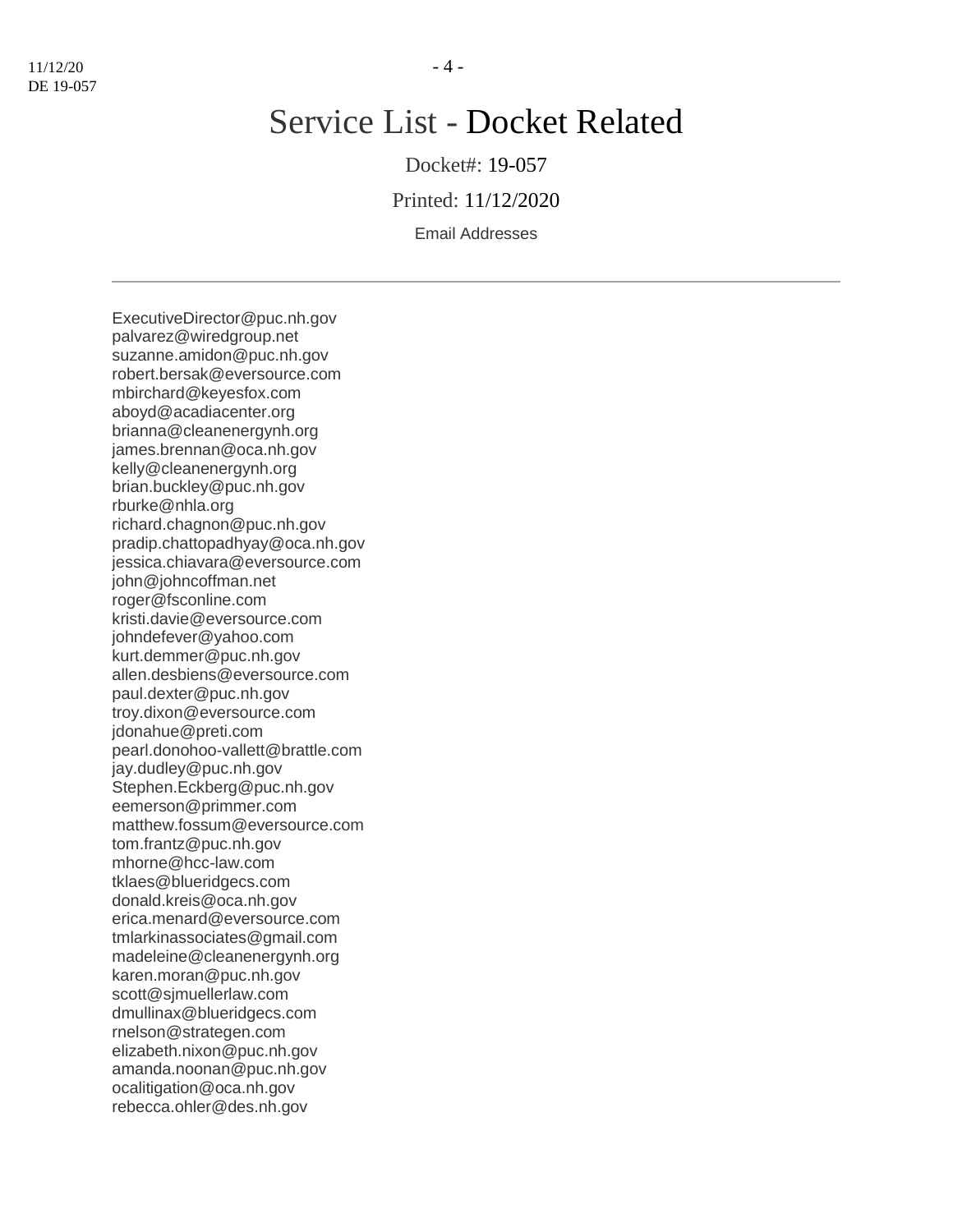# Service List - Docket Related

Docket#: 19-057

Printed: 11/12/2020

Email Addresses

ExecutiveDirector@puc.nh.gov palvarez@wiredgroup.net suzanne.amidon@puc.nh.gov robert.bersak@eversource.com mbirchard@keyesfox.com aboyd@acadiacenter.org brianna@cleanenergynh.org james.brennan@oca.nh.gov kelly@cleanenergynh.org brian.buckley@puc.nh.gov rburke@nhla.org richard.chagnon@puc.nh.gov pradip.chattopadhyay@oca.nh.gov jessica.chiavara@eversource.com john@johncoffman.net roger@fsconline.com kristi.davie@eversource.com johndefever@yahoo.com kurt.demmer@puc.nh.gov allen.desbiens@eversource.com paul.dexter@puc.nh.gov troy.dixon@eversource.com jdonahue@preti.com pearl.donohoo-vallett@brattle.com jay.dudley@puc.nh.gov Stephen.Eckberg@puc.nh.gov eemerson@primmer.com matthew.fossum@eversource.com tom.frantz@puc.nh.gov mhorne@hcc-law.com tklaes@blueridgecs.com donald.kreis@oca.nh.gov erica.menard@eversource.com tmlarkinassociates@gmail.com madeleine@cleanenergynh.org karen.moran@puc.nh.gov scott@sjmuellerlaw.com dmullinax@blueridgecs.com rnelson@strategen.com elizabeth.nixon@puc.nh.gov amanda.noonan@puc.nh.gov ocalitigation@oca.nh.gov rebecca.ohler@des.nh.gov